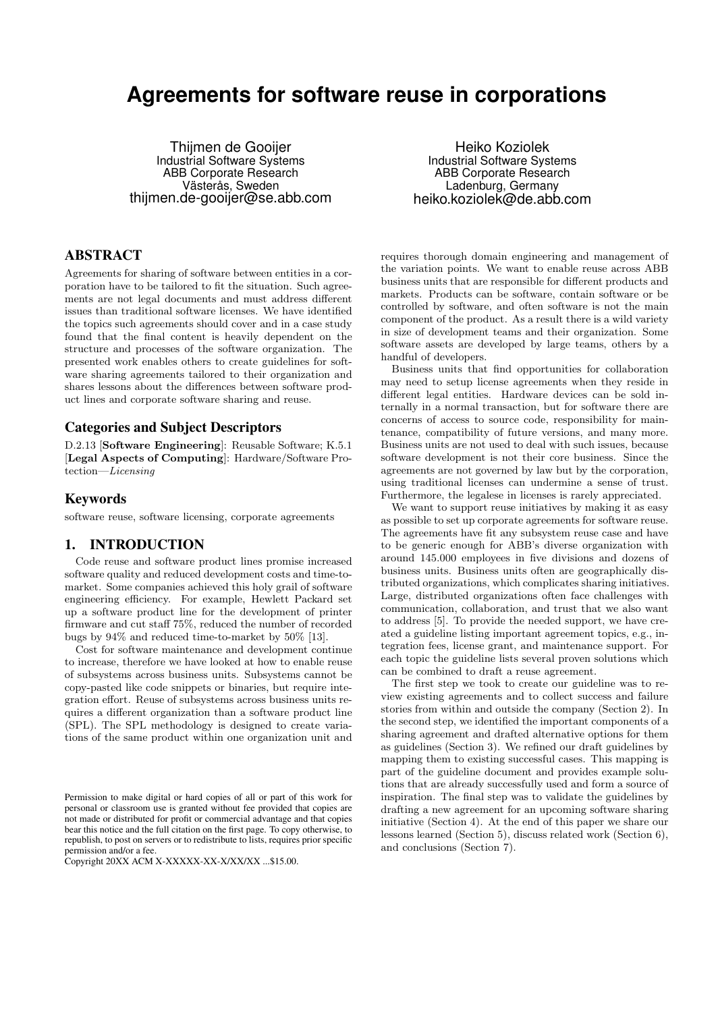# **Agreements for software reuse in corporations**

Thijmen de Gooijer Industrial Software Systems ABB Corporate Research Västerås, Sweden thijmen.de-gooijer@se.abb.com

## ABSTRACT

Agreements for sharing of software between entities in a corporation have to be tailored to fit the situation. Such agreements are not legal documents and must address different issues than traditional software licenses. We have identified the topics such agreements should cover and in a case study found that the final content is heavily dependent on the structure and processes of the software organization. The presented work enables others to create guidelines for software sharing agreements tailored to their organization and shares lessons about the differences between software product lines and corporate software sharing and reuse.

### Categories and Subject Descriptors

D.2.13 [Software Engineering]: Reusable Software; K.5.1 [Legal Aspects of Computing]: Hardware/Software Protection—Licensing

#### Keywords

software reuse, software licensing, corporate agreements

## 1. INTRODUCTION

Code reuse and software product lines promise increased software quality and reduced development costs and time-tomarket. Some companies achieved this holy grail of software engineering efficiency. For example, Hewlett Packard set up a software product line for the development of printer firmware and cut staff 75%, reduced the number of recorded bugs by 94% and reduced time-to-market by 50% [13].

Cost for software maintenance and development continue to increase, therefore we have looked at how to enable reuse of subsystems across business units. Subsystems cannot be copy-pasted like code snippets or binaries, but require integration effort. Reuse of subsystems across business units requires a different organization than a software product line (SPL). The SPL methodology is designed to create variations of the same product within one organization unit and

Heiko Koziolek Industrial Software Systems ABB Corporate Research Ladenburg, Germany heiko.koziolek@de.abb.com

requires thorough domain engineering and management of the variation points. We want to enable reuse across ABB business units that are responsible for different products and markets. Products can be software, contain software or be controlled by software, and often software is not the main component of the product. As a result there is a wild variety in size of development teams and their organization. Some software assets are developed by large teams, others by a handful of developers.

Business units that find opportunities for collaboration may need to setup license agreements when they reside in different legal entities. Hardware devices can be sold internally in a normal transaction, but for software there are concerns of access to source code, responsibility for maintenance, compatibility of future versions, and many more. Business units are not used to deal with such issues, because software development is not their core business. Since the agreements are not governed by law but by the corporation, using traditional licenses can undermine a sense of trust. Furthermore, the legalese in licenses is rarely appreciated.

We want to support reuse initiatives by making it as easy as possible to set up corporate agreements for software reuse. The agreements have fit any subsystem reuse case and have to be generic enough for ABB's diverse organization with around 145.000 employees in five divisions and dozens of business units. Business units often are geographically distributed organizations, which complicates sharing initiatives. Large, distributed organizations often face challenges with communication, collaboration, and trust that we also want to address [5]. To provide the needed support, we have created a guideline listing important agreement topics, e.g., integration fees, license grant, and maintenance support. For each topic the guideline lists several proven solutions which can be combined to draft a reuse agreement.

The first step we took to create our guideline was to review existing agreements and to collect success and failure stories from within and outside the company (Section 2). In the second step, we identified the important components of a sharing agreement and drafted alternative options for them as guidelines (Section 3). We refined our draft guidelines by mapping them to existing successful cases. This mapping is part of the guideline document and provides example solutions that are already successfully used and form a source of inspiration. The final step was to validate the guidelines by drafting a new agreement for an upcoming software sharing initiative (Section 4). At the end of this paper we share our lessons learned (Section 5), discuss related work (Section 6), and conclusions (Section 7).

Permission to make digital or hard copies of all or part of this work for personal or classroom use is granted without fee provided that copies are not made or distributed for profit or commercial advantage and that copies bear this notice and the full citation on the first page. To copy otherwise, to republish, to post on servers or to redistribute to lists, requires prior specific permission and/or a fee.

Copyright 20XX ACM X-XXXXX-XX-X/XX/XX ...\$15.00.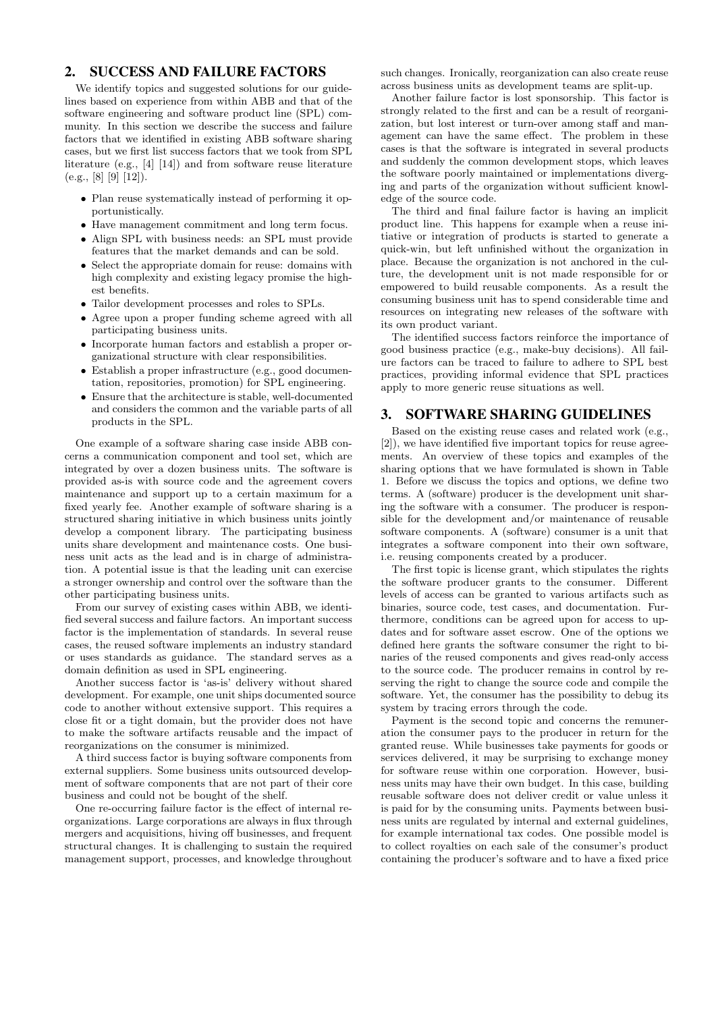## 2. SUCCESS AND FAILURE FACTORS

We identify topics and suggested solutions for our guidelines based on experience from within ABB and that of the software engineering and software product line (SPL) community. In this section we describe the success and failure factors that we identified in existing ABB software sharing cases, but we first list success factors that we took from SPL literature (e.g., [4] [14]) and from software reuse literature (e.g., [8] [9] [12]).

- Plan reuse systematically instead of performing it opportunistically.
- Have management commitment and long term focus.
- Align SPL with business needs: an SPL must provide features that the market demands and can be sold.
- Select the appropriate domain for reuse: domains with high complexity and existing legacy promise the highest benefits.
- Tailor development processes and roles to SPLs.
- Agree upon a proper funding scheme agreed with all participating business units.
- Incorporate human factors and establish a proper organizational structure with clear responsibilities.
- Establish a proper infrastructure (e.g., good documentation, repositories, promotion) for SPL engineering.
- Ensure that the architecture is stable, well-documented and considers the common and the variable parts of all products in the SPL.

One example of a software sharing case inside ABB concerns a communication component and tool set, which are integrated by over a dozen business units. The software is provided as-is with source code and the agreement covers maintenance and support up to a certain maximum for a fixed yearly fee. Another example of software sharing is a structured sharing initiative in which business units jointly develop a component library. The participating business units share development and maintenance costs. One business unit acts as the lead and is in charge of administration. A potential issue is that the leading unit can exercise a stronger ownership and control over the software than the other participating business units.

From our survey of existing cases within ABB, we identified several success and failure factors. An important success factor is the implementation of standards. In several reuse cases, the reused software implements an industry standard or uses standards as guidance. The standard serves as a domain definition as used in SPL engineering.

Another success factor is 'as-is' delivery without shared development. For example, one unit ships documented source code to another without extensive support. This requires a close fit or a tight domain, but the provider does not have to make the software artifacts reusable and the impact of reorganizations on the consumer is minimized.

A third success factor is buying software components from external suppliers. Some business units outsourced development of software components that are not part of their core business and could not be bought of the shelf.

One re-occurring failure factor is the effect of internal reorganizations. Large corporations are always in flux through mergers and acquisitions, hiving off businesses, and frequent structural changes. It is challenging to sustain the required management support, processes, and knowledge throughout such changes. Ironically, reorganization can also create reuse across business units as development teams are split-up.

Another failure factor is lost sponsorship. This factor is strongly related to the first and can be a result of reorganization, but lost interest or turn-over among staff and management can have the same effect. The problem in these cases is that the software is integrated in several products and suddenly the common development stops, which leaves the software poorly maintained or implementations diverging and parts of the organization without sufficient knowledge of the source code.

The third and final failure factor is having an implicit product line. This happens for example when a reuse initiative or integration of products is started to generate a quick-win, but left unfinished without the organization in place. Because the organization is not anchored in the culture, the development unit is not made responsible for or empowered to build reusable components. As a result the consuming business unit has to spend considerable time and resources on integrating new releases of the software with its own product variant.

The identified success factors reinforce the importance of good business practice (e.g., make-buy decisions). All failure factors can be traced to failure to adhere to SPL best practices, providing informal evidence that SPL practices apply to more generic reuse situations as well.

### 3. SOFTWARE SHARING GUIDELINES

Based on the existing reuse cases and related work (e.g., [2]), we have identified five important topics for reuse agreements. An overview of these topics and examples of the sharing options that we have formulated is shown in Table 1. Before we discuss the topics and options, we define two terms. A (software) producer is the development unit sharing the software with a consumer. The producer is responsible for the development and/or maintenance of reusable software components. A (software) consumer is a unit that integrates a software component into their own software, i.e. reusing components created by a producer.

The first topic is license grant, which stipulates the rights the software producer grants to the consumer. Different levels of access can be granted to various artifacts such as binaries, source code, test cases, and documentation. Furthermore, conditions can be agreed upon for access to updates and for software asset escrow. One of the options we defined here grants the software consumer the right to binaries of the reused components and gives read-only access to the source code. The producer remains in control by reserving the right to change the source code and compile the software. Yet, the consumer has the possibility to debug its system by tracing errors through the code.

Payment is the second topic and concerns the remuneration the consumer pays to the producer in return for the granted reuse. While businesses take payments for goods or services delivered, it may be surprising to exchange money for software reuse within one corporation. However, business units may have their own budget. In this case, building reusable software does not deliver credit or value unless it is paid for by the consuming units. Payments between business units are regulated by internal and external guidelines, for example international tax codes. One possible model is to collect royalties on each sale of the consumer's product containing the producer's software and to have a fixed price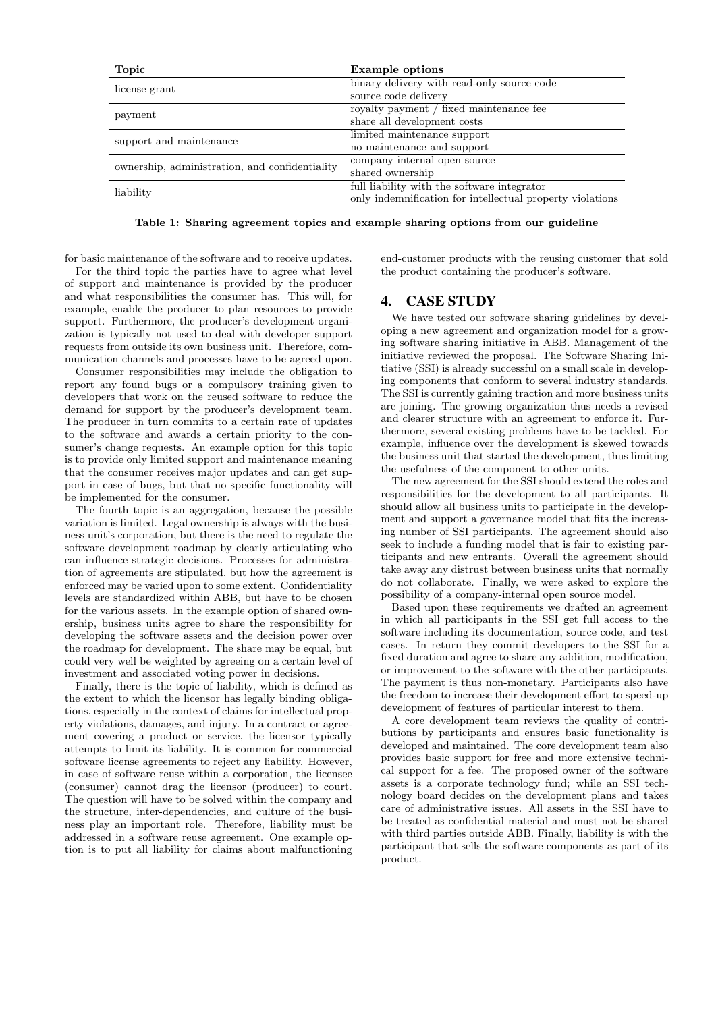| Topic                                          | <b>Example options</b>                                    |
|------------------------------------------------|-----------------------------------------------------------|
| license grant                                  | binary delivery with read-only source code                |
|                                                | source code delivery                                      |
| payment                                        | royalty payment / fixed maintenance fee                   |
|                                                | share all development costs                               |
| support and maintenance                        | limited maintenance support                               |
|                                                | no maintenance and support                                |
| ownership, administration, and confidentiality | company internal open source                              |
|                                                | shared ownership                                          |
| liability                                      | full liability with the software integrator               |
|                                                | only indemnification for intellectual property violations |

Table 1: Sharing agreement topics and example sharing options from our guideline

for basic maintenance of the software and to receive updates.

For the third topic the parties have to agree what level of support and maintenance is provided by the producer and what responsibilities the consumer has. This will, for example, enable the producer to plan resources to provide support. Furthermore, the producer's development organization is typically not used to deal with developer support requests from outside its own business unit. Therefore, communication channels and processes have to be agreed upon.

Consumer responsibilities may include the obligation to report any found bugs or a compulsory training given to developers that work on the reused software to reduce the demand for support by the producer's development team. The producer in turn commits to a certain rate of updates to the software and awards a certain priority to the consumer's change requests. An example option for this topic is to provide only limited support and maintenance meaning that the consumer receives major updates and can get support in case of bugs, but that no specific functionality will be implemented for the consumer.

The fourth topic is an aggregation, because the possible variation is limited. Legal ownership is always with the business unit's corporation, but there is the need to regulate the software development roadmap by clearly articulating who can influence strategic decisions. Processes for administration of agreements are stipulated, but how the agreement is enforced may be varied upon to some extent. Confidentiality levels are standardized within ABB, but have to be chosen for the various assets. In the example option of shared ownership, business units agree to share the responsibility for developing the software assets and the decision power over the roadmap for development. The share may be equal, but could very well be weighted by agreeing on a certain level of investment and associated voting power in decisions.

Finally, there is the topic of liability, which is defined as the extent to which the licensor has legally binding obligations, especially in the context of claims for intellectual property violations, damages, and injury. In a contract or agreement covering a product or service, the licensor typically attempts to limit its liability. It is common for commercial software license agreements to reject any liability. However, in case of software reuse within a corporation, the licensee (consumer) cannot drag the licensor (producer) to court. The question will have to be solved within the company and the structure, inter-dependencies, and culture of the business play an important role. Therefore, liability must be addressed in a software reuse agreement. One example option is to put all liability for claims about malfunctioning end-customer products with the reusing customer that sold the product containing the producer's software.

## 4. CASE STUDY

We have tested our software sharing guidelines by developing a new agreement and organization model for a growing software sharing initiative in ABB. Management of the initiative reviewed the proposal. The Software Sharing Initiative (SSI) is already successful on a small scale in developing components that conform to several industry standards. The SSI is currently gaining traction and more business units are joining. The growing organization thus needs a revised and clearer structure with an agreement to enforce it. Furthermore, several existing problems have to be tackled. For example, influence over the development is skewed towards the business unit that started the development, thus limiting the usefulness of the component to other units.

The new agreement for the SSI should extend the roles and responsibilities for the development to all participants. It should allow all business units to participate in the development and support a governance model that fits the increasing number of SSI participants. The agreement should also seek to include a funding model that is fair to existing participants and new entrants. Overall the agreement should take away any distrust between business units that normally do not collaborate. Finally, we were asked to explore the possibility of a company-internal open source model.

Based upon these requirements we drafted an agreement in which all participants in the SSI get full access to the software including its documentation, source code, and test cases. In return they commit developers to the SSI for a fixed duration and agree to share any addition, modification, or improvement to the software with the other participants. The payment is thus non-monetary. Participants also have the freedom to increase their development effort to speed-up development of features of particular interest to them.

A core development team reviews the quality of contributions by participants and ensures basic functionality is developed and maintained. The core development team also provides basic support for free and more extensive technical support for a fee. The proposed owner of the software assets is a corporate technology fund; while an SSI technology board decides on the development plans and takes care of administrative issues. All assets in the SSI have to be treated as confidential material and must not be shared with third parties outside ABB. Finally, liability is with the participant that sells the software components as part of its product.